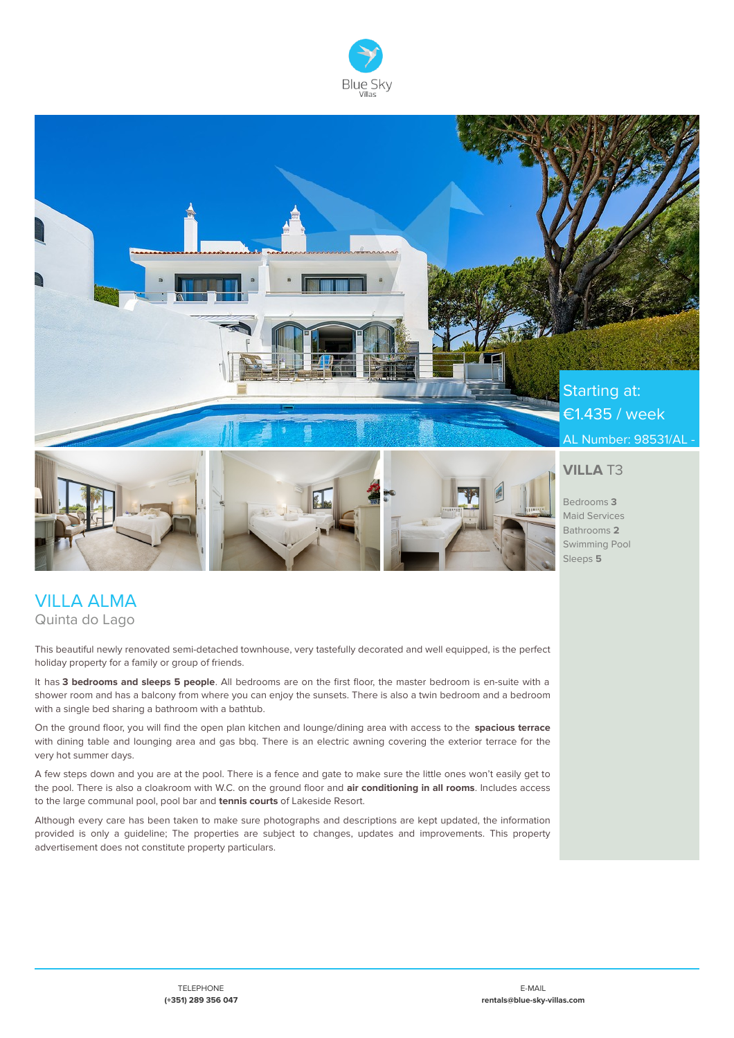



# VILLA ALMA Quinta do Lago

This beautiful newly renovated semi-detached townhouse, very tastefully decorated and well equipped, is the perfect holiday property for a family or group of friends.

It has **3 bedrooms and sleeps 5 people**. All bedrooms are on the first floor, the master bedroom is en-suite with a shower room and has a balcony from where you can enjoy the sunsets. There is also a twin bedroom and a bedroom with a single bed sharing a bathroom with a bathtub.

On the ground floor, you will find the open plan kitchen and lounge/dining area with access to the **spacious terrace** with dining table and lounging area and gas bbq. There is an electric awning covering the exterior terrace for the very hot summer days.

A few steps down and you are at the pool. There is a fence and gate to make sure the little ones won't easily get to the pool. There is also a cloakroom with W.C. on the ground floor and **air conditioning in all rooms**. Includes access to the large communal pool, pool bar and **tennis courts** of Lakeside Resort.

Although every care has been taken to make sure photographs and descriptions are kept updated, the information provided is only a guideline; The properties are subject to changes, updates and improvements. This property advertisement does not constitute property particulars.